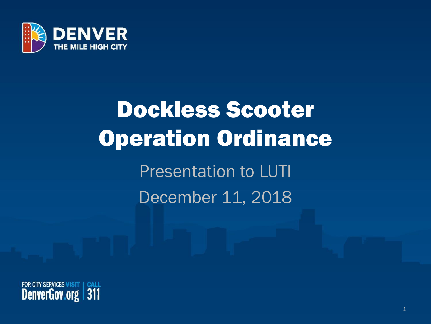

# Dockless Scooter Operation Ordinance Presentation to LUTI December 11, 2018

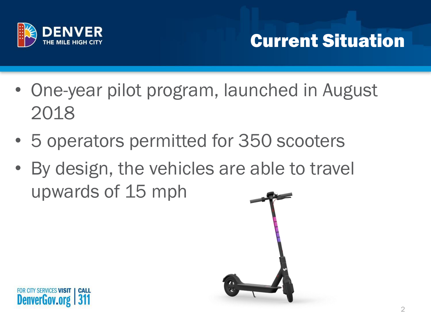

#### Current Situation

- One-year pilot program, launched in August 2018
- 5 operators permitted for 350 scooters
- By design, the vehicles are able to travel upwards of 15 mph

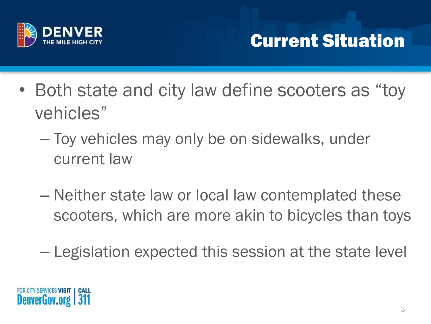

#### Current Situation

- Both state and city law define scooters as "toy" vehicles"
	- Toy vehicles may only be on sidewalks, under current law
	- Neither state law or local law contemplated these scooters, which are more akin to bicycles than toys
	- Legislation expected this session at the state level

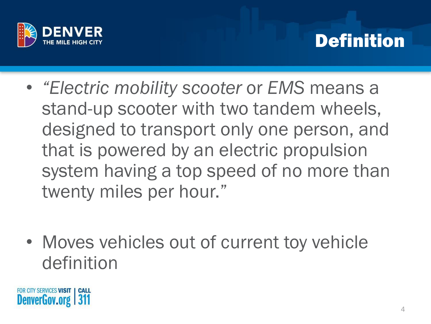

#### Definition

- *"Electric mobility scooter* or *EMS* means a stand-up scooter with two tandem wheels, designed to transport only one person, and that is powered by an electric propulsion system having a top speed of no more than twenty miles per hour."
- Moves vehicles out of current toy vehicle definition

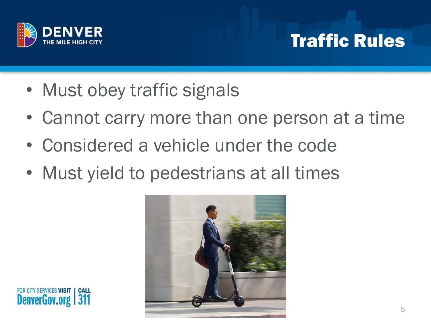

#### Traffic Rules

- Must obey traffic signals
- Cannot carry more than one person at a time
- Considered a vehicle under the code
- Must yield to pedestrians at all times

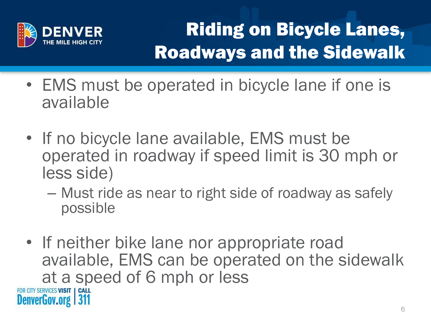

### Riding on Bicycle Lanes, Roadways and the Sidewalk

- EMS must be operated in bicycle lane if one is available
- If no bicycle lane available, EMS must be operated in roadway if speed limit is 30 mph or less side)
	- Must ride as near to right side of roadway as safely possible
- If neither bike lane nor appropriate road available, EMS can be operated on the sidewalk at a speed of 6 mph or less FOR CITY SERVICES VISIT | CALL **DenverGov.org**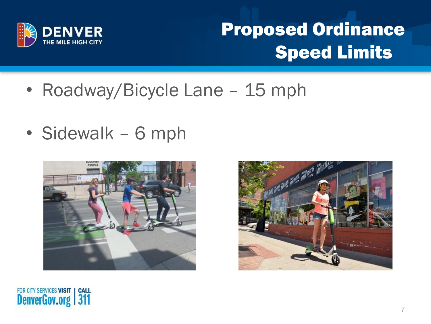

#### Proposed Ordinance Speed Limits

- Roadway/Bicycle Lane 15 mph
- Sidewalk 6 mph





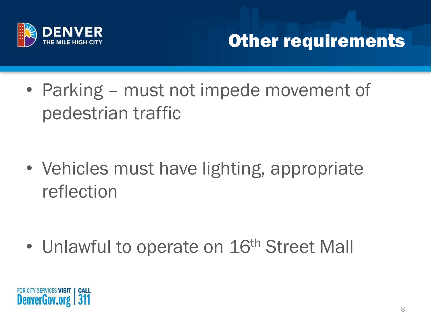

#### Other requirements

• Parking – must not impede movement of pedestrian traffic

• Vehicles must have lighting, appropriate reflection

• Unlawful to operate on 16<sup>th</sup> Street Mall

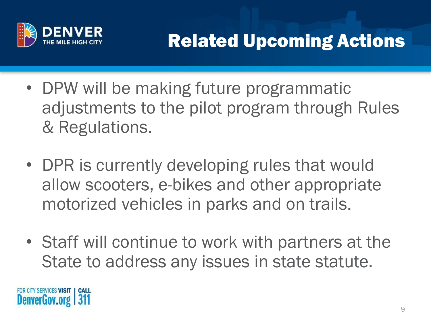

- DPW will be making future programmatic adjustments to the pilot program through Rules & Regulations.
- DPR is currently developing rules that would allow scooters, e-bikes and other appropriate motorized vehicles in parks and on trails.
- Staff will continue to work with partners at the State to address any issues in state statute.